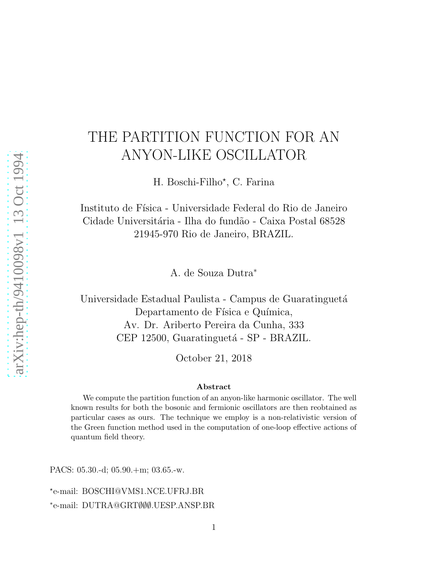## THE PARTITION FUNCTION FOR AN ANYON-LIKE OSCILLATOR

H. Boschi-Filho<sup>\*</sup>, C. Farina

Instituto de Física - Universidade Federal do Rio de Janeiro Cidade Universitária - Ilha do fundão - Caixa Postal 68528 21945-970 Rio de Janeiro, BRAZIL.

A. de Souza Dutra<sup>∗</sup>

Universidade Estadual Paulista - Campus de Guaratinguetá Departamento de Física e Química, Av. Dr. Ariberto Pereira da Cunha, 333 CEP 12500, Guaratinguetá - SP - BRAZIL.

October 21, 2018

## Abstract

We compute the partition function of an anyon-like harmonic oscillator. The well known results for both the bosonic and fermionic oscillators are then reobtained as particular cases as ours. The technique we employ is a non-relativistic version of the Green function method used in the computation of one-loop effective actions of quantum field theory.

PACS: 05.30.-d; 05.90.+m; 03.65.-w.

⋆ e-mail: BOSCHI@VMS1.NCE.UFRJ.BR ∗ e-mail: DUTRA@GRT∅∅∅.UESP.ANSP.BR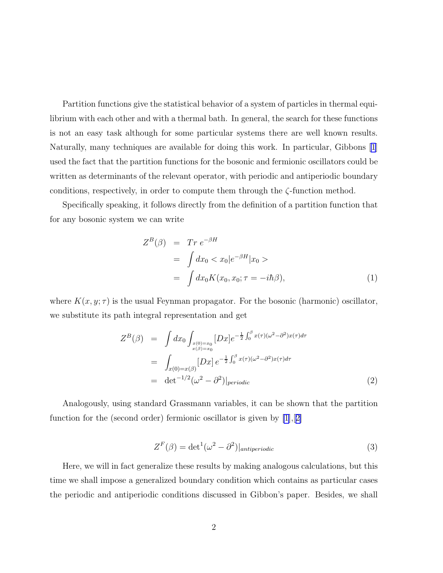Partition functions give the statistical behavior of a system of particles in thermal equilibrium with each other and with a thermal bath. In general, the search for these functions is not an easy task although for some particular systems there are well known results. Naturally, many techniques are available for doing this work. In particular, Gibbons [\[1](#page-8-0)] used the fact that the partition functions for the bosonic and fermionic oscillators could be written as determinants of the relevant operator, with periodic and antiperiodic boundary conditions, respectively, in order to compute them through the  $\zeta$ -function method.

Specifically speaking, it follows directly from the definition of a partition function that for any bosonic system we can write

$$
Z^{B}(\beta) = Tr e^{-\beta H}
$$
  
= 
$$
\int dx_0 < x_0 |e^{-\beta H}|x_0>
$$
  
= 
$$
\int dx_0 K(x_0, x_0; \tau = -i\hbar \beta),
$$
 (1)

where  $K(x, y; \tau)$  is the usual Feynman propagator. For the bosonic (harmonic) oscillator, we substitute its path integral representation and get

$$
Z^{B}(\beta) = \int dx_{0} \int_{x(0)=x_{0}} [Dx] e^{-\frac{1}{2} \int_{0}^{\beta} x(\tau)(\omega^{2} - \partial^{2})x(\tau) d\tau}
$$
  
\n
$$
= \int_{x(0)=x(\beta)} [Dx] e^{-\frac{1}{2} \int_{0}^{\beta} x(\tau)(\omega^{2} - \partial^{2})x(\tau) d\tau}
$$
  
\n
$$
= det^{-1/2} (\omega^{2} - \partial^{2})|_{periodic}
$$
\n(2)

Analogously, using standard Grassmann variables, it can be shown that the partition function for the (second order) fermionic oscillator is given by [\[1](#page-8-0)],[[2\]](#page-8-0)

$$
Z^{F}(\beta) = \det^{1}(\omega^{2} - \partial^{2})|_{antiperiodic}
$$
\n(3)

Here, we will in fact generalize these results by making analogous calculations, but this time we shall impose a generalized boundary condition which contains as particular cases the periodic and antiperiodic conditions discussed in Gibbon's paper. Besides, we shall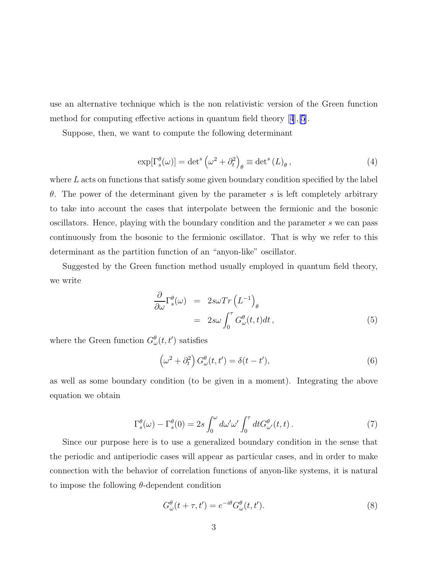<span id="page-2-0"></span>use an alternative technique which is the non relativistic version of the Green function method for computing effective actions in quantum field theory[[4](#page-8-0)],[\[5](#page-8-0)].

Suppose, then, we want to compute the following determinant

$$
\exp[\Gamma_s^{\theta}(\omega)] = \det^s \left(\omega^2 + \partial_t^2\right)_{\theta} \equiv \det^s (L)_{\theta},\tag{4}
$$

where  $L$  acts on functions that satisfy some given boundary condition specified by the label θ. The power of the determinant given by the parameter s is left completely arbitrary to take into account the cases that interpolate between the fermionic and the bosonic oscillators. Hence, playing with the boundary condition and the parameter s we can pass continuously from the bosonic to the fermionic oscillator. That is why we refer to this determinant as the partition function of an "anyon-like" oscillator.

Suggested by the Green function method usually employed in quantum field theory, we write

$$
\frac{\partial}{\partial \omega} \Gamma_s^{\theta}(\omega) = 2s\omega Tr \left( L^{-1} \right)_{\theta}
$$

$$
= 2s\omega \int_0^{\tau} G_{\omega}^{\theta}(t, t) dt , \qquad (5)
$$

where the Green function  $G^{\theta}_{\omega}(t, t')$  satisfies

$$
\left(\omega^2 + \partial_t^2\right) G_{\omega}^{\theta}(t, t') = \delta(t - t'),\tag{6}
$$

as well as some boundary condition (to be given in a moment). Integrating the above equation we obtain

$$
\Gamma_s^{\theta}(\omega) - \Gamma_s^{\theta}(0) = 2s \int_0^{\omega} d\omega' \omega' \int_0^{\tau} dt G_{\omega'}^{\theta}(t, t).
$$
\n(7)

Since our purpose here is to use a generalized boundary condition in the sense that the periodic and antiperiodic cases will appear as particular cases, and in order to make connection with the behavior of correlation functions of anyon-like systems, it is natural to impose the following  $\theta$ -dependent condition

$$
G^{\theta}_{\omega}(t+\tau,t') = e^{-i\theta} G^{\theta}_{\omega}(t,t'). \tag{8}
$$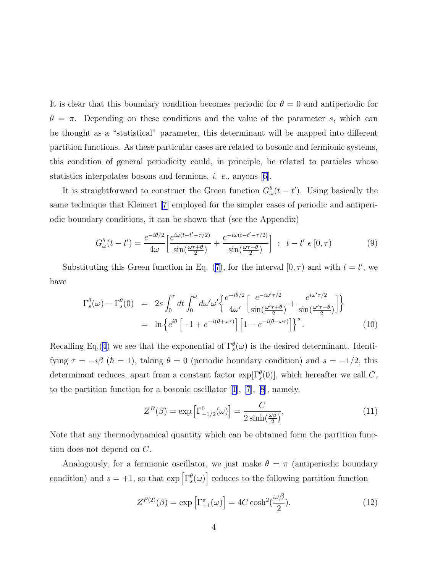<span id="page-3-0"></span>It is clear that this boundary condition becomes periodic for  $\theta = 0$  and antiperiodic for  $\theta = \pi$ . Depending on these conditions and the value of the parameter s, which can be thought as a "statistical" parameter, this determinant will be mapped into different partition functions. As these particular cases are related to bosonic and fermionic systems, this condition of general periodicity could, in principle, be related to particles whose statisticsinterpolates bosons and fermions,  $i.$   $e.,$  anyons  $[6].$  $[6].$  $[6].$ 

It is straightforward to construct the Green function  $G^{\theta}_{\omega}(t-t')$ . Using basically the same technique that Kleinert[[7\]](#page-8-0) employed for the simpler cases of periodic and antiperiodic boundary conditions, it can be shown that (see the Appendix)

$$
G_{\omega}^{\theta}(t-t') = \frac{e^{-i\theta/2}}{4\omega} \left[ \frac{e^{i\omega(t-t'-\tau/2)}}{\sin(\frac{\omega\tau+\theta}{2})} + \frac{e^{-i\omega(t-t'-\tau/2)}}{\sin(\frac{\omega\tau-\theta}{2})} \right] ; \quad t-t' \in [0,\tau)
$$
 (9)

Substitutingthis Green function in Eq. ([7\)](#page-2-0), for the interval  $[0, \tau)$  and with  $t = t'$ , we have

$$
\Gamma_s^{\theta}(\omega) - \Gamma_s^{\theta}(0) = 2s \int_0^{\tau} dt \int_0^{\omega} d\omega' \omega' \left\{ \frac{e^{-i\omega'\tau/2}}{4\omega'} \left[ \frac{e^{-i\omega'\tau/2}}{\sin(\frac{\omega'\tau+\theta}{2})} + \frac{e^{i\omega'\tau/2}}{\sin(\frac{\omega'\tau-\theta}{2})} \right] \right\}
$$
  
=  $\ln \left\{ e^{i\theta} \left[ -1 + e^{-i(\theta+\omega\tau)} \right] \left[ 1 - e^{-i(\theta-\omega\tau)} \right] \right\}^s.$  (10)

Recalling Eq.([4](#page-2-0)) we see that the exponential of  $\Gamma_s^{\theta}(\omega)$  is the desired determinant. Identifying  $\tau = -i\beta$  ( $\hbar = 1$ ), taking  $\theta = 0$  (periodic boundary condition) and  $s = -1/2$ , this determinant reduces, apart from a constant factor  $\exp[\Gamma_s^{\theta}(0)]$ , which hereafter we call C, to the partition function for a bosonic oscillator [\[1\]](#page-8-0), [\[7](#page-8-0)],[[8\]](#page-8-0), namely,

$$
Z^{B}(\beta) = \exp\left[\Gamma^{0}_{-1/2}(\omega)\right] = \frac{C}{2\sinh(\frac{\omega\beta}{2})},\tag{11}
$$

Note that any thermodynamical quantity which can be obtained form the partition function does not depend on C.

Analogously, for a fermionic oscillator, we just make  $\theta = \pi$  (antiperiodic boundary condition) and  $s = +1$ , so that  $\exp\left[\Gamma_s^{\theta}(\omega)\right]$  reduces to the following partition function

$$
Z^{F(2)}(\beta) = \exp\left[\Gamma_{+1}^{\pi}(\omega)\right] = 4C\cosh^2(\frac{\omega\beta}{2}).\tag{12}
$$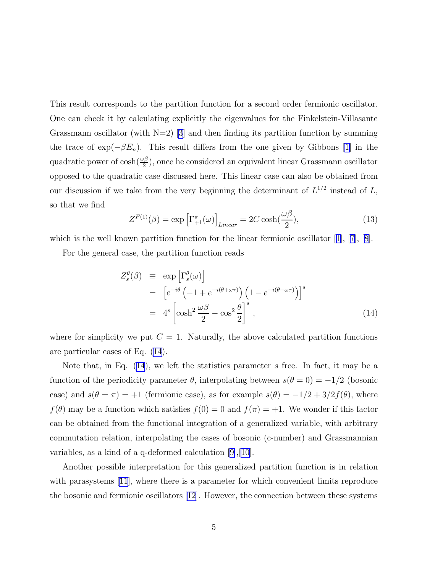This result corresponds to the partition function for a second order fermionic oscillator. One can check it by calculating explicitly the eigenvalues for the Finkelstein-Villasante Grassmann oscillator (with  $N=2$ ) [\[3\]](#page-8-0) and then finding its partition function by summing thetrace of  $\exp(-\beta E_n)$ . This result differs from the one given by Gibbons [[1\]](#page-8-0) in the quadratic power of  $\cosh(\frac{\omega\beta}{2})$ , once he considered an equivalent linear Grassmann oscillator opposed to the quadratic case discussed here. This linear case can also be obtained from our discussion if we take from the very beginning the determinant of  $L^{1/2}$  instead of L, so that we find

$$
Z^{F(1)}(\beta) = \exp\left[\Gamma_{+1}^{\pi}(\omega)\right]_{Linear} = 2C\cosh(\frac{\omega\beta}{2}),\tag{13}
$$

whichis the well known partition function for the linear fermionic oscillator  $[1], [7], [8].$  $[1], [7], [8].$  $[1], [7], [8].$  $[1], [7], [8].$  $[1], [7], [8].$  $[1], [7], [8].$  $[1], [7], [8].$ 

For the general case, the partition function reads

$$
Z_s^{\theta}(\beta) \equiv \exp\left[\Gamma_s^{\theta}(\omega)\right]
$$
  
=  $\left[e^{-i\theta} \left(-1 + e^{-i(\theta + \omega \tau)}\right) \left(1 - e^{-i(\theta - \omega \tau)}\right)\right]^s$   
=  $4^s \left[\cosh^2 \frac{\omega \beta}{2} - \cos^2 \frac{\theta}{2}\right]^s$ , (14)

where for simplicity we put  $C = 1$ . Naturally, the above calculated partition functions are particular cases of Eq. (14).

Note that, in Eq.  $(14)$ , we left the statistics parameter s free. In fact, it may be a function of the periodicity parameter  $\theta$ , interpolating between  $s(\theta = 0) = -1/2$  (bosonic case) and  $s(\theta = \pi) = +1$  (fermionic case), as for example  $s(\theta) = -1/2 + 3/2f(\theta)$ , where  $f(\theta)$  may be a function which satisfies  $f(0) = 0$  and  $f(\pi) = +1$ . We wonder if this factor can be obtained from the functional integration of a generalized variable, with arbitrary commutation relation, interpolating the cases of bosonic (c-number) and Grassmannian variables, as a kind of a q-deformed calculation[[9\]](#page-8-0),[\[10\]](#page-8-0).

Another possible interpretation for this generalized partition function is in relation with parasystems [\[11](#page-8-0)], where there is a parameter for which convenient limits reproduce the bosonic and fermionic oscillators [\[12\]](#page-8-0). However, the connection between these systems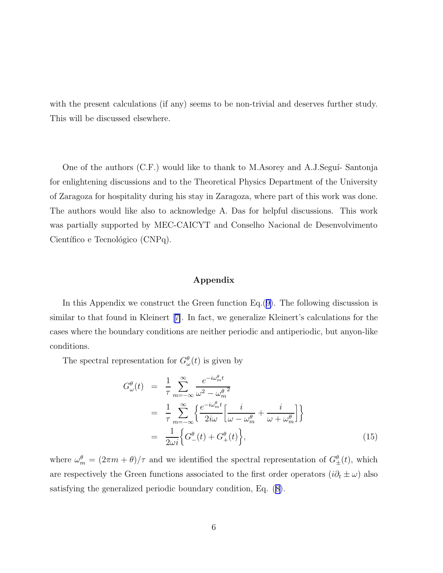<span id="page-5-0"></span>with the present calculations (if any) seems to be non-trivial and deserves further study. This will be discussed elsewhere.

One of the authors  $(C.F.)$  would like to thank to M.Asorey and A.J.Seguí-Santonja for enlightening discussions and to the Theoretical Physics Department of the University of Zaragoza for hospitality during his stay in Zaragoza, where part of this work was done. The authors would like also to acknowledge A. Das for helpful discussions. This work was partially supported by MEC-CAICYT and Conselho Nacional de Desenvolvimento Científico e Tecnológico (CNPq).

## Appendix

In this Appendix we construct the Green function Eq.([9\)](#page-3-0). The following discussion is similar to that found in Kleinert[[7\]](#page-8-0). In fact, we generalize Kleinert's calculations for the cases where the boundary conditions are neither periodic and antiperiodic, but anyon-like conditions.

The spectral representation for  $G_{\omega}^{\theta}(t)$  is given by

$$
G_{\omega}^{\theta}(t) = \frac{1}{\tau} \sum_{m=-\infty}^{\infty} \frac{e^{-i\omega_m^{\theta}t}}{\omega^2 - \omega_m^{\theta^2}}
$$
  
= 
$$
\frac{1}{\tau} \sum_{m=-\infty}^{\infty} \left\{ \frac{e^{-i\omega_m^{\theta}t}}{2i\omega} \left[ \frac{i}{\omega - \omega_m^{\theta}} + \frac{i}{\omega + \omega_m^{\theta}} \right] \right\}
$$
  
= 
$$
\frac{1}{2\omega i} \left\{ G_{-}^{\theta}(t) + G_{+}^{\theta}(t) \right\},
$$
(15)

where  $\omega_m^{\theta} = (2\pi m + \theta)/\tau$  and we identified the spectral representation of  $G_{\pm}^{\theta}(t)$ , which are respectively the Green functions associated to the first order operators  $(i\partial_t \pm \omega)$  also satisfying the generalized periodic boundary condition, Eq.([8\)](#page-2-0).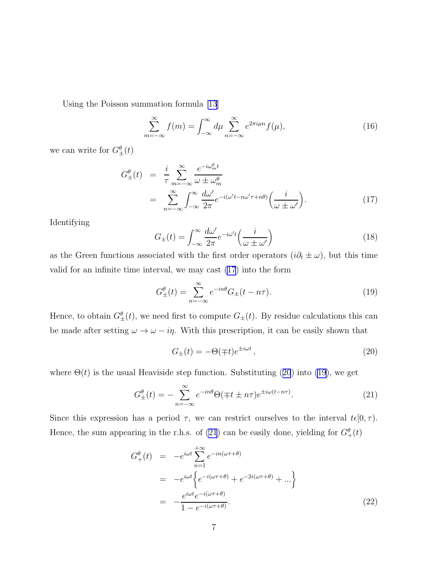<span id="page-6-0"></span>Using the Poisson summation formula [\[13](#page-8-0)]

$$
\sum_{m=-\infty}^{\infty} f(m) = \int_{-\infty}^{\infty} d\mu \sum_{n=-\infty}^{\infty} e^{2\pi i \mu n} f(\mu), \tag{16}
$$

we can write for  $G_{\pm}^{\theta}(t)$ 

$$
G_{\pm}^{\theta}(t) = \frac{i}{\tau} \sum_{m=-\infty}^{\infty} \frac{e^{-i\omega_m^{\theta}t}}{\omega \pm \omega_m^{\theta}}
$$
  
= 
$$
\sum_{n=-\infty}^{\infty} \int_{-\infty}^{\infty} \frac{d\omega'}{2\pi} e^{-i(\omega' t - n\omega' \tau + n\theta)} \left(\frac{i}{\omega \pm \omega'}\right).
$$
 (17)

Identifying

$$
G_{\pm}(t) = \int_{-\infty}^{\infty} \frac{d\omega'}{2\pi} e^{-i\omega' t} \left(\frac{i}{\omega \pm \omega'}\right)
$$
 (18)

as the Green functions associated with the first order operators  $(i\partial_t \pm \omega)$ , but this time valid for an infinite time interval, we may cast (17) into the form

$$
G_{\pm}^{\theta}(t) = \sum_{n = -\infty}^{\infty} e^{-in\theta} G_{\pm}(t - n\tau).
$$
 (19)

Hence, to obtain  $G_{\pm}^{\theta}(t)$ , we need first to compute  $G_{\pm}(t)$ . By residue calculations this can be made after setting  $\omega \to \omega - i\eta$ . With this prescription, it can be easily shown that

$$
G_{\pm}(t) = -\Theta(\mp t)e^{\pm i\omega t},\qquad(20)
$$

where  $\Theta(t)$  is the usual Heaviside step function. Substituting (20) into (19), we get

$$
G_{\pm}^{\theta}(t) = -\sum_{n=-\infty}^{\infty} e^{-in\theta} \Theta(\mp t \pm n\tau) e^{\pm i\omega(t - n\tau)}.
$$
 (21)

Since this expression has a period  $\tau$ , we can restrict ourselves to the interval  $t\epsilon[0,\tau)$ . Hence, the sum appearing in the r.h.s. of (21) can be easily done, yielding for  $G_{+}^{\theta}(t)$ 

$$
G_{+}^{\theta}(t) = -e^{i\omega t} \sum_{n=1}^{+\infty} e^{-in(\omega \tau + \theta)}
$$
  
= 
$$
-e^{i\omega t} \left\{ e^{-i(\omega \tau + \theta)} + e^{-2i(\omega \tau + \theta)} + \dots \right\}
$$
  
= 
$$
-\frac{e^{i\omega t} e^{-i(\omega \tau + \theta)}}{1 - e^{-i(\omega \tau + \theta)}}.
$$
 (22)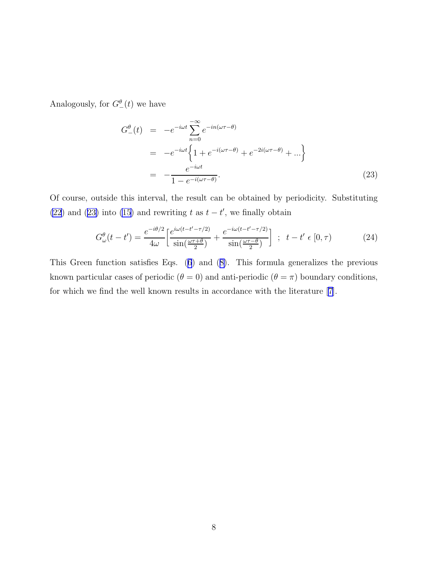Analogously, for  $G_{-}^{\theta}(t)$  we have

$$
G_{-}^{\theta}(t) = -e^{-i\omega t} \sum_{n=0}^{\infty} e^{-in(\omega \tau - \theta)}
$$
  
= 
$$
-e^{-i\omega t} \left\{ 1 + e^{-i(\omega \tau - \theta)} + e^{-2i(\omega \tau - \theta)} + \dots \right\}
$$
  
= 
$$
-\frac{e^{-i\omega t}}{1 - e^{-i(\omega \tau - \theta)}}.
$$
 (23)

Of course, outside this interval, the result can be obtained by periodicity. Substituting [\(22](#page-6-0)) and (23) into [\(15](#page-5-0)) and rewriting t as  $t - t'$ , we finally obtain

$$
G_{\omega}^{\theta}(t-t') = \frac{e^{-i\theta/2}}{4\omega} \left[ \frac{e^{i\omega(t-t'-\tau/2)}}{\sin(\frac{\omega\tau+\theta}{2})} + \frac{e^{-i\omega(t-t'-\tau/2)}}{\sin(\frac{\omega\tau-\theta}{2})} \right] ; \quad t-t' \in [0,\tau)
$$
 (24)

This Green function satisfies Eqs.([6](#page-2-0)) and([8\)](#page-2-0). This formula generalizes the previous known particular cases of periodic ( $\theta = 0$ ) and anti-periodic ( $\theta = \pi$ ) boundary conditions, for which we find the well known results in accordance with the literature[[7\]](#page-8-0).